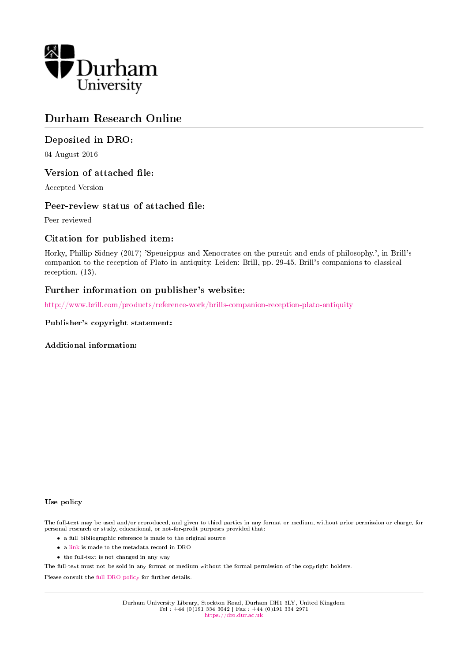

# Durham Research Online

# Deposited in DRO:

04 August 2016

## Version of attached file:

Accepted Version

## Peer-review status of attached file:

Peer-reviewed

## Citation for published item:

Horky, Phillip Sidney (2017) 'Speusippus and Xenocrates on the pursuit and ends of philosophy.', in Brill's companion to the reception of Plato in antiquity. Leiden: Brill, pp. 29-45. Brill's companions to classical reception. (13).

### Further information on publisher's website:

<http://www.brill.com/products/reference-work/brills-companion-reception-plato-antiquity>

### Publisher's copyright statement:

Additional information:

#### Use policy

The full-text may be used and/or reproduced, and given to third parties in any format or medium, without prior permission or charge, for personal research or study, educational, or not-for-profit purposes provided that:

- a full bibliographic reference is made to the original source
- a [link](http://dro.dur.ac.uk/19429/) is made to the metadata record in DRO
- the full-text is not changed in any way

The full-text must not be sold in any format or medium without the formal permission of the copyright holders.

Please consult the [full DRO policy](https://dro.dur.ac.uk/policies/usepolicy.pdf) for further details.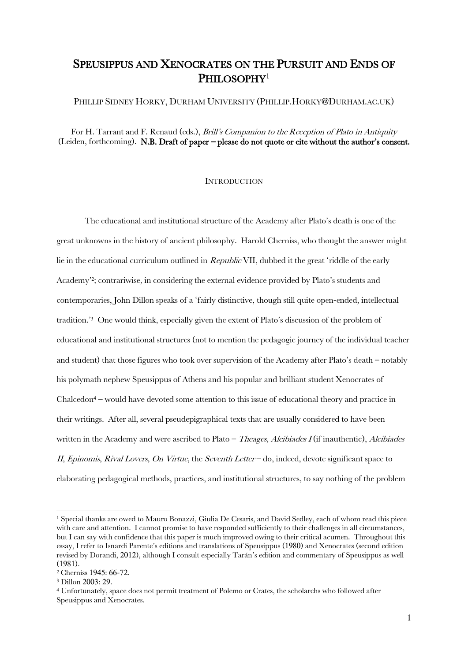# SPEUSIPPUS AND XENOCRATES ON THE PURSUIT AND ENDS OF PHILOSOPHY<sup>1</sup>

PHILLIP SIDNEY HORKY, DURHAM UNIVERSITY (PHILLIP.HORKY@DURHAM.AC.UK)

For H. Tarrant and F. Renaud (eds.), *Brill's Companion to the Reception of Plato in Antiquity* (Leiden, forthcoming). N.B. Draft of paper – please do not quote or cite without the author's consent.

### **INTRODUCTION**

The educational and institutional structure of the Academy after Plato's death is one of the great unknowns in the history of ancient philosophy. Harold Cherniss, who thought the answer might lie in the educational curriculum outlined in *Republic* VII, dubbed it the great 'riddle of the early Academy' 2 ; contrariwise, in considering the external evidence provided by Plato's students and contemporaries, John Dillon speaks of a 'fairly distinctive, though still quite open-ended, intellectual tradition.'<sup>3</sup> One would think, especially given the extent of Plato's discussion of the problem of educational and institutional structures (not to mention the pedagogic journey of the individual teacher and student) that those figures who took over supervision of the Academy after Plato's death – notably his polymath nephew Speusippus of Athens and his popular and brilliant student Xenocrates of Chalcedon<sup>4</sup> – would have devoted some attention to this issue of educational theory and practice in their writings. After all, several pseudepigraphical texts that are usually considered to have been written in the Academy and were ascribed to Plato – *Theages, Alcibiades I* (if inauthentic), *Alcibiades* II, Epinomis, Rival Lovers, On Virtue, the Seventh Letter – do, indeed, devote significant space to elaborating pedagogical methods, practices, and institutional structures, to say nothing of the problem

<sup>1</sup> Special thanks are owed to Mauro Bonazzi, Giulia De Cesaris, and David Sedley, each of whom read this piece with care and attention. I cannot promise to have responded sufficiently to their challenges in all circumstances, but I can say with confidence that this paper is much improved owing to their critical acumen. Throughout this essay, I refer to Isnardi Parente's editions and translations of Speusippus (1980) and Xenocrates (second edition revised by Dorandi, 2012), although I consult especially Tarán's edition and commentary of Speusippus as well (1981).

<sup>2</sup> Cherniss 1945: 66-72.

<sup>3</sup> Dillon 2003: 29.

<sup>4</sup> Unfortunately, space does not permit treatment of Polemo or Crates, the scholarchs who followed after Speusippus and Xenocrates.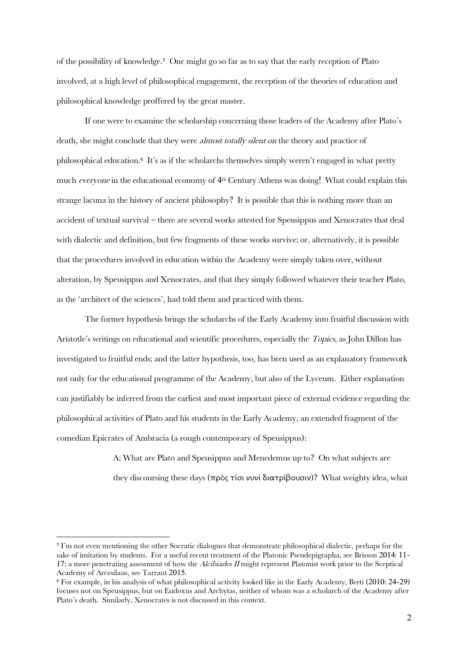of the possibility of knowledge. 5 One might go so far as to say that the early reception of Plato involved, at a high level of philosophical engagement, the reception of the theories of education and philosophical knowledge proffered by the great master.

If one were to examine the scholarship concerning those leaders of the Academy after Plato's death, she might conclude that they were *almost totally silent on* the theory and practice of philosophical education. 6 It's as if the scholarchs themselves simply weren't engaged in what pretty much everyone in the educational economy of  $4<sup>th</sup>$  Century Athens was doing! What could explain this strange lacuna in the history of ancient philosophy? It is possible that this is nothing more than an accident of textual survival – there are several works attested for Speusippus and Xenocrates that deal with dialectic and definition, but few fragments of these works survive; or, alternatively, it is possible that the procedures involved in education within the Academy were simply taken over, without alteration, by Speusippus and Xenocrates, and that they simply followed whatever their teacher Plato, as the 'architect of the sciences', had told them and practiced with them.

The former hypothesis brings the scholarchs of the Early Academy into fruitful discussion with Aristotle's writings on educational and scientific procedures, especially the Topics, as John Dillon has investigated to fruitful ends; and the latter hypothesis, too, has been used as an explanatory framework not only for the educational programme of the Academy, but also of the Lyceum. Either explanation can justifiably be inferred from the earliest and most important piece of external evidence regarding the philosophical activities of Plato and his students in the Early Academy, an extended fragment of the comedian Epicrates of Ambracia (a rough contemporary of Speusippus):

> A: What are Plato and Speusippus and Menedemus up to? On what subjects are they discoursing these days (πρὸς τίσι νυνὶ διατρίβουσιν)? What weighty idea, what

<sup>5</sup> I'm not even mentioning the other Socratic dialogues that demonstrate philosophical dialectic, perhaps for the sake of imitation by students. For a useful recent treatment of the Platonic Pseudepigrapha, see Brisson 2014: 11- 17; a more penetrating assessment of how the Alcibiades II might represent Platonist work prior to the Sceptical Academy of Arcesilaus, see Tarrant 2015.

<sup>6</sup> For example, in his analysis of what philosophical activity looked like in the Early Academy, Berti (2010: 24-29) focuses not on Speusippus, but on Eudoxus and Archytas, neither of whom was a scholarch of the Academy after Plato's death. Similarly, Xenocrates is not discussed in this context.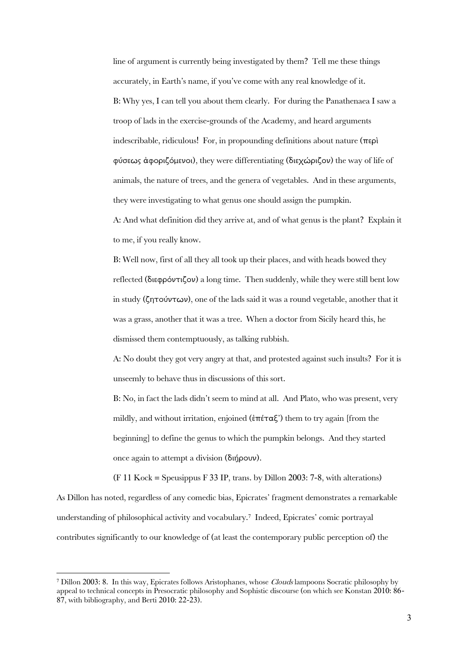line of argument is currently being investigated by them? Tell me these things accurately, in Earth's name, if you've come with any real knowledge of it. B: Why yes, I can tell you about them clearly. For during the Panathenaea I saw a troop of lads in the exercise-grounds of the Academy, and heard arguments indescribable, ridiculous! For, in propounding definitions about nature  $(\pi \epsilon \rho)$ φύσεως ἀφοριζόμενοι), they were differentiating (διεχώριζον) the way of life of animals, the nature of trees, and the genera of vegetables. And in these arguments, they were investigating to what genus one should assign the pumpkin. A: And what definition did they arrive at, and of what genus is the plant? Explain it

to me, if you really know.

 $\overline{a}$ 

B: Well now, first of all they all took up their places, and with heads bowed they reflected (διεφρόντιζον) a long time. Then suddenly, while they were still bent low in study (ζητούντων), one of the lads said it was a round vegetable, another that it was a grass, another that it was a tree. When a doctor from Sicily heard this, he dismissed them contemptuously, as talking rubbish.

A: No doubt they got very angry at that, and protested against such insults? For it is unseemly to behave thus in discussions of this sort.

B: No, in fact the lads didn't seem to mind at all. And Plato, who was present, very mildly, and without irritation, enjoined  $(\epsilon \pi \epsilon \tau \alpha \xi')$  them to try again [from the beginning] to define the genus to which the pumpkin belongs. And they started once again to attempt a division (διήρουν).

(F 11 Kock = Speusippus F 33 IP, trans. by Dillon 2003: 7-8, with alterations) As Dillon has noted, regardless of any comedic bias, Epicrates' fragment demonstrates a remarkable understanding of philosophical activity and vocabulary.<sup>7</sup> Indeed, Epicrates' comic portrayal contributes significantly to our knowledge of (at least the contemporary public perception of) the

<sup>7</sup> Dillon 2003: 8. In this way, Epicrates follows Aristophanes, whose Clouds lampoons Socratic philosophy by appeal to technical concepts in Presocratic philosophy and Sophistic discourse (on which see Konstan 2010: 86- 87, with bibliography, and Berti 2010: 22-23).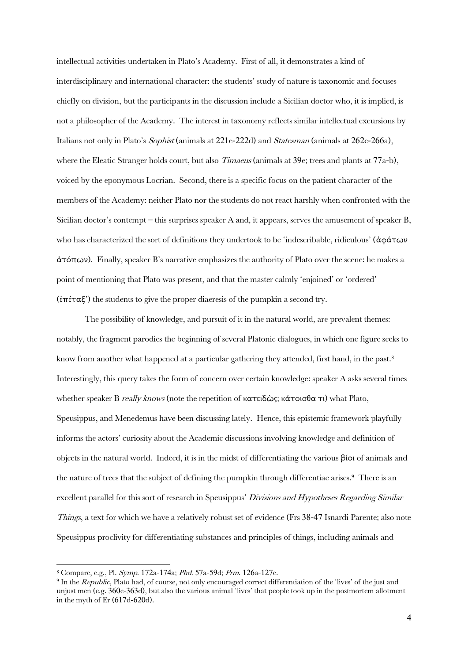intellectual activities undertaken in Plato's Academy. First of all, it demonstrates a kind of interdisciplinary and international character: the students' study of nature is taxonomic and focuses chiefly on division, but the participants in the discussion include a Sicilian doctor who, it is implied, is not a philosopher of the Academy. The interest in taxonomy reflects similar intellectual excursions by Italians not only in Plato's Sophist (animals at 221e-222d) and Statesman (animals at 262c-266a), where the Eleatic Stranger holds court, but also *Timaeus* (animals at 39e; trees and plants at 77a-b), voiced by the eponymous Locrian. Second, there is a specific focus on the patient character of the members of the Academy: neither Plato nor the students do not react harshly when confronted with the Sicilian doctor's contempt – this surprises speaker A and, it appears, serves the amusement of speaker B, who has characterized the sort of definitions they undertook to be 'indescribable, ridiculous' (ἀφάτων ἀτόπων). Finally, speaker B's narrative emphasizes the authority of Plato over the scene: he makes a point of mentioning that Plato was present, and that the master calmly 'enjoined' or 'ordered' (ἐπέταξ') the students to give the proper diaeresis of the pumpkin a second try.

The possibility of knowledge, and pursuit of it in the natural world, are prevalent themes: notably, the fragment parodies the beginning of several Platonic dialogues, in which one figure seeks to know from another what happened at a particular gathering they attended, first hand, in the past.<sup>8</sup> Interestingly, this query takes the form of concern over certain knowledge: speaker A asks several times whether speaker B really knows (note the repetition of κατειδὼς; κάτοισθα τι) what Plato, Speusippus, and Menedemus have been discussing lately. Hence, this epistemic framework playfully informs the actors' curiosity about the Academic discussions involving knowledge and definition of objects in the natural world. Indeed, it is in the midst of differentiating the various βίοι of animals and the nature of trees that the subject of defining the pumpkin through differentiae arises.<sup>9</sup> There is an excellent parallel for this sort of research in Speusippus' Divisions and Hypotheses Regarding Similar Things, a text for which we have a relatively robust set of evidence (Frs 38-47 Isnardi Parente; also note Speusippus proclivity for differentiating substances and principles of things, including animals and

<sup>8</sup> Compare, e.g., Pl. Symp. 172a-174a; Phd. 57a-59d; Prm. 126a-127e.

<sup>9</sup> In the Republic, Plato had, of course, not only encouraged correct differentiation of the 'lives' of the just and unjust men (e.g. 360e-363d), but also the various animal 'lives' that people took up in the postmortem allotment in the myth of Er (617d-620d).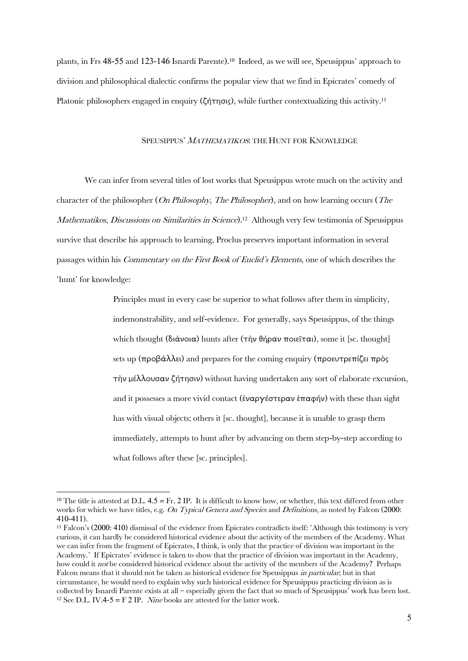plants, in Frs 48-55 and 123-146 Isnardi Parente). 10 Indeed, as we will see, Speusippus' approach to division and philosophical dialectic confirms the popular view that we find in Epicrates' comedy of Platonic philosophers engaged in enquiry (ζήτησις), while further contextualizing this activity. 11

#### SPEUSIPPUS' MATHEMATIKOS: THE HUNT FOR KNOWLEDGE

We can infer from several titles of lost works that Speusippus wrote much on the activity and character of the philosopher (*On Philosophy, The Philosopher*), and on how learning occurs (*The Mathematikos, Discussions on Similarities in Science*).<sup>12</sup> Although very few testimonia of Speusippus survive that describe his approach to learning, Proclus preserves important information in several passages within his Commentary on the First Book of Euclid's Elements, one of which describes the 'hunt' for knowledge:

> Principles must in every case be superior to what follows after them in simplicity, indemonstrability, and self-evidence. For generally, says Speusippus, of the things which thought (διάνοια) hunts after (τὴν θήραν ποιεῖται), some it [sc. thought] sets up (προβάλλει) and prepares for the coming enquiry (προευτρεπίζει πρὸς τὴν μέλλουσαν ζήτησιν) without having undertaken any sort of elaborate excursion, and it possesses a more vivid contact (ἐναργέστεραν ἐπαφήν) with these than sight has with visual objects; others it [sc. thought], because it is unable to grasp them immediately, attempts to hunt after by advancing on them step-by-step according to what follows after these [sc. principles].

<sup>&</sup>lt;sup>10</sup> The title is attested at D.L.  $4.5 = Fr. 2$  IP. It is difficult to know how, or whether, this text differed from other works for which we have titles, e.g. On Typical Genera and Species and Definitions, as noted by Falcon (2000: 410-411).

<sup>11</sup> Falcon's (2000: 410) dismissal of the evidence from Epicrates contradicts itself: 'Although this testimony is very curious, it can hardly be considered historical evidence about the activity of the members of the Academy. What we can infer from the fragment of Epicrates, I think, is only that the practice of division was important in the Academy.' If Epicrates' evidence is taken to show that the practice of division was important in the Academy, how could it *not* be considered historical evidence about the activity of the members of the Academy? Perhaps Falcon means that it should not be taken as historical evidence for Speusippus *in particular*; but in that circumstance, he would need to explain why such historical evidence for Speusippus practicing division as is collected by Isnardi Parente exists at all – especially given the fact that so much of Speusippus' work has been lost. <sup>12</sup> See D.L. IV.4-5 = F 2 IP. *Nine* books are attested for the latter work.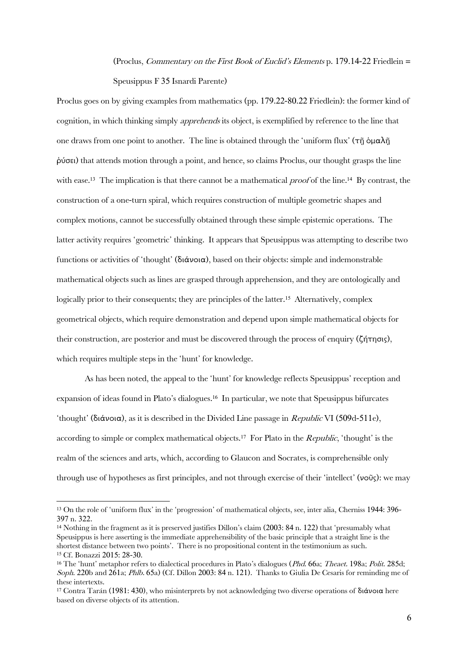(Proclus, Commentary on the First Book of Euclid's Elements p. 179.14-22 Friedlein = Speusippus F 35 Isnardi Parente)

Proclus goes on by giving examples from mathematics (pp. 179.22-80.22 Friedlein): the former kind of cognition, in which thinking simply apprehends its object, is exemplified by reference to the line that one draws from one point to another. The line is obtained through the 'uniform flux' (τῆ ὁμαλῆ ῥύσει) that attends motion through a point, and hence, so claims Proclus, our thought grasps the line with ease.<sup>13</sup> The implication is that there cannot be a mathematical *proof* of the line.<sup>14</sup> By contrast, the construction of a one-turn spiral, which requires construction of multiple geometric shapes and complex motions, cannot be successfully obtained through these simple epistemic operations. The latter activity requires 'geometric' thinking. It appears that Speusippus was attempting to describe two functions or activities of 'thought' (διάνοια), based on their objects: simple and indemonstrable mathematical objects such as lines are grasped through apprehension, and they are ontologically and logically prior to their consequents; they are principles of the latter.<sup>15</sup> Alternatively, complex geometrical objects, which require demonstration and depend upon simple mathematical objects for their construction, are posterior and must be discovered through the process of enquiry (ζήτησις), which requires multiple steps in the 'hunt' for knowledge.

As has been noted, the appeal to the 'hunt' for knowledge reflects Speusippus' reception and expansion of ideas found in Plato's dialogues. 16 In particular, we note that Speusippus bifurcates 'thought' (διάνοια), as it is described in the Divided Line passage in *Republic* VI (509d-511e), according to simple or complex mathematical objects.<sup>17</sup> For Plato in the *Republic*, 'thought' is the realm of the sciences and arts, which, according to Glaucon and Socrates, is comprehensible only through use of hypotheses as first principles, and not through exercise of their 'intellect' (νοῦς): we may

<sup>13</sup> On the role of 'uniform flux' in the 'progression' of mathematical objects, see, inter alia, Cherniss 1944: 396- 397 n. 322.

<sup>14</sup> Nothing in the fragment as it is preserved justifies Dillon's claim (2003: 84 n. 122) that 'presumably what Speusippus is here asserting is the immediate apprehensibility of the basic principle that a straight line is the shortest distance between two points'. There is no propositional content in the testimonium as such. <sup>15</sup> Cf. Bonazzi 2015: 28-30.

<sup>&</sup>lt;sup>16</sup> The 'hunt' metaphor refers to dialectical procedures in Plato's dialogues (*Phd.* 66a; *Theaet.* 198a; *Polit.* 285d; Soph. 220b and 261a; Phlb. 65a) (Cf. Dillon 2003: 84 n. 121). Thanks to Giulia De Cesaris for reminding me of these intertexts.

<sup>17</sup> Contra Tarán (1981: 430), who misinterprets by not acknowledging two diverse operations of διάνοια here based on diverse objects of its attention.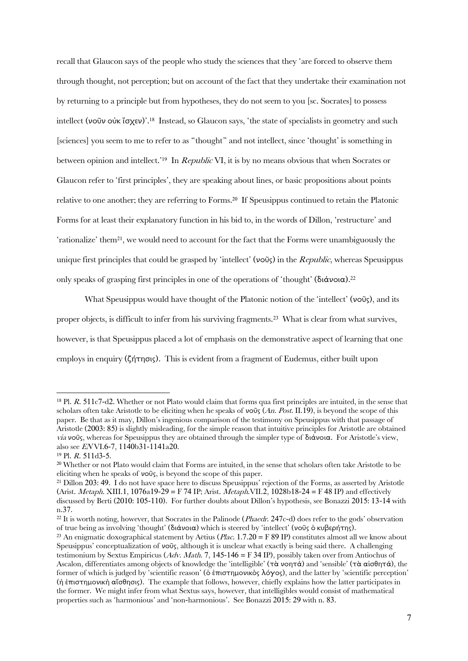recall that Glaucon says of the people who study the sciences that they 'are forced to observe them through thought, not perception; but on account of the fact that they undertake their examination not by returning to a principle but from hypotheses, they do not seem to you [sc. Socrates] to possess intellect (νοῦν οὐκ ἴσχεν)'.<sup>18</sup> Instead, so Glaucon says, 'the state of specialists in geometry and such [sciences] you seem to me to refer to as "thought" and not intellect, since 'thought' is something in between opinion and intellect.'<sup>19</sup> In *Republic* VI, it is by no means obvious that when Socrates or Glaucon refer to 'first principles', they are speaking about lines, or basic propositions about points relative to one another; they are referring to Forms.<sup>20</sup> If Speusippus continued to retain the Platonic Forms for at least their explanatory function in his bid to, in the words of Dillon, 'restructure' and 'rationalize' them<sup>21</sup>, we would need to account for the fact that the Forms were unambiguously the unique first principles that could be grasped by 'intellect' (νοῦς) in the  $Republic$ , whereas Speusippus only speaks of grasping first principles in one of the operations of 'thought' (διάνοια).<sup>22</sup>

What Speusippus would have thought of the Platonic notion of the 'intellect' (νοῦς), and its proper objects, is difficult to infer from his surviving fragments.<sup>23</sup> What is clear from what survives, however, is that Speusippus placed a lot of emphasis on the demonstrative aspect of learning that one employs in enquiry (ζήτησις). This is evident from a fragment of Eudemus, either built upon

<sup>18</sup> Pl. R. 511c7-d2. Whether or not Plato would claim that forms qua first principles are intuited, in the sense that scholars often take Aristotle to be eliciting when he speaks of  $\nu$ οῦς (An. Post. II.19), is beyond the scope of this paper. Be that as it may, Dillon's ingenious comparison of the testimony on Speusippus with that passage of Aristotle (2003: 85) is slightly misleading, for the simple reason that intuitive principles for Aristotle are obtained via νοῦς, whereas for Speusippus they are obtained through the simpler type of διάνοια. For Aristotle's view, also see EN VI.6-7, 1140b31-1141a20.

<sup>19</sup> Pl. R. 511d3-5.

<sup>20</sup> Whether or not Plato would claim that Forms are intuited, in the sense that scholars often take Aristotle to be eliciting when he speaks of  $\nu$ οῦς, is beyond the scope of this paper.

<sup>21</sup> Dillon 203: 49. I do not have space here to discuss Speusippus' rejection of the Forms, as asserted by Aristotle (Arist. *Metaph.* XIII.1, 1076a19-29 = F 74 IP; Arist. *Metaph.VII.2*, 1028b18-24 = F 48 IP) and effectively discussed by Berti (2010: 105-110). For further doubts about Dillon's hypothesis, see Bonazzi 2015: 13-14 with n.37.

 $^{22}$  It is worth noting, however, that Socrates in the Palinode (*Phaedr.* 247c-d) does refer to the gods' observation of true being as involving 'thought' (διάνοια) which is steered by 'intellect' (νοῦς ὁ κυβερήτης).

<sup>&</sup>lt;sup>23</sup> An enigmatic doxographical statement by Aëtius (*Plac.* 1.7.20 = F 89 IP) constitutes almost all we know about Speusippus' conceptualization of νοῦς, although it is unclear what exactly is being said there. A challenging testimonium by Sextus Empiricus ( $\overrightarrow{Adv}$ . Math. 7, 145-146 = F 34 IP), possibly taken over from Antiochus of Ascalon, differentiates among objects of knowledge the 'intelligible' (τὰ νοητά) and 'sensible' (τὰ αἰσθητά), the former of which is judged by 'scientific reason' (ὁ ἐπιστημονικὸς λόγος), and the latter by 'scientific perception' (ἡ ἐπιστημονικὴ αἴσθησις). The example that follows, however, chiefly explains how the latter participates in the former. We might infer from what Sextus says, however, that intelligibles would consist of mathematical properties such as 'harmonious' and 'non-harmonious'. See Bonazzi 2015: 29 with n. 83.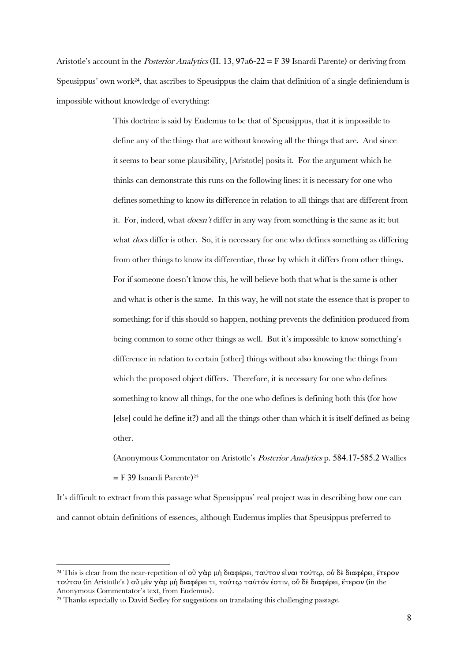Aristotle's account in the *Posterior Analytics* (II. 13,  $97a6-22 = F$  39 Isnardi Parente) or deriving from Speusippus' own work<sup>24</sup>, that ascribes to Speusippus the claim that definition of a single definiendum is impossible without knowledge of everything:

> This doctrine is said by Eudemus to be that of Speusippus, that it is impossible to define any of the things that are without knowing all the things that are. And since it seems to bear some plausibility, [Aristotle] posits it. For the argument which he thinks can demonstrate this runs on the following lines: it is necessary for one who defines something to know its difference in relation to all things that are different from it. For, indeed, what doesn't differ in any way from something is the same as it; but what *does* differ is other. So, it is necessary for one who defines something as differing from other things to know its differentiae, those by which it differs from other things. For if someone doesn't know this, he will believe both that what is the same is other and what is other is the same. In this way, he will not state the essence that is proper to something; for if this should so happen, nothing prevents the definition produced from being common to some other things as well. But it's impossible to know something's difference in relation to certain [other] things without also knowing the things from which the proposed object differs. Therefore, it is necessary for one who defines something to know all things, for the one who defines is defining both this (for how [else] could he define it?) and all the things other than which it is itself defined as being other.

(Anonymous Commentator on Aristotle's Posterior Analytics p. 584.17-585.2 Wallies = F 39 Isnardi Parente) 25

It's difficult to extract from this passage what Speusippus' real project was in describing how one can and cannot obtain definitions of essences, although Eudemus implies that Speusippus preferred to

<sup>&</sup>lt;sup>24</sup> This is clear from the near-repetition of οὖ γὰρ μὴ διαφέρει, ταὐτον εἶναι τούτῳ, οὖ δὲ διαφέρει, ἕτερον τούτου (in Aristotle's ) οὗ μὲν γὰρ μὴ διαφέρει τι, τούτῳ ταὐτόν ἐστιν, οὗ δὲ διαφέρει, ἕτερον (in the Anonymous Commentator's text, from Eudemus).

<sup>&</sup>lt;sup>25</sup> Thanks especially to David Sedley for suggestions on translating this challenging passage.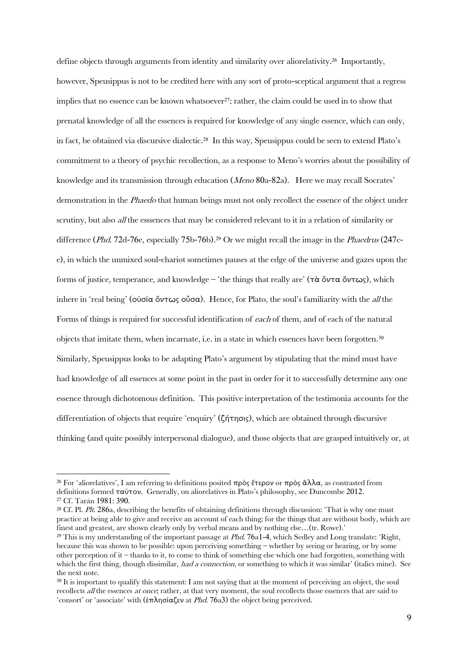define objects through arguments from identity and similarity over aliorelativity. 26 Importantly, however, Speusippus is not to be credited here with any sort of proto-sceptical argument that a regress implies that no essence can be known whatsoever<sup>27</sup>; rather, the claim could be used in to show that prenatal knowledge of all the essences is required for knowledge of any single essence, which can only, in fact, be obtained via discursive dialectic. <sup>28</sup> In this way, Speusippus could be seen to extend Plato's commitment to a theory of psychic recollection, as a response to Meno's worries about the possibility of knowledge and its transmission through education (Meno 80a-82a). Here we may recall Socrates' demonstration in the *Phaedo* that human beings must not only recollect the essence of the object under scrutiny, but also *all* the esssences that may be considered relevant to it in a relation of similarity or difference (*Phd*. 72d-76e, especially 75b-76b).<sup>29</sup> Or we might recall the image in the *Phaedrus* (247ce), in which the unmixed soul-chariot sometimes pauses at the edge of the universe and gazes upon the forms of justice, temperance, and knowledge – 'the things that really are' (τὰ ὄντα ὄντως), which inhere in 'real being' (οὐσία ὄντως οὖσα). Hence, for Plato, the soul's familiarity with the all the Forms of things is required for successful identification of each of them, and of each of the natural objects that imitate them, when incarnate, i.e. in a state in which essences have been forgotten. 30 Similarly, Speusippus looks to be adapting Plato's argument by stipulating that the mind must have had knowledge of all essences at some point in the past in order for it to successfully determine any one essence through dichotomous definition. This positive interpretation of the testimonia accounts for the differentiation of objects that require 'enquiry' (ζήτησις), which are obtained through discursive thinking (and quite possibly interpersonal dialogue), and those objects that are grasped intuitively or, at

<sup>&</sup>lt;sup>26</sup> For 'aliorelatives', I am referring to definitions posited πρὸς ἕτερον or πρὸς ἄλλα, as contrasted from definitions formed ταὐτον. Generally, on aliorelatives in Plato's philosophy, see Duncombe 2012. <sup>27</sup> Cf. Tarán 1981: 390.

<sup>&</sup>lt;sup>28</sup> Cf. Pl. Plt. 286a, describing the benefits of obtaining definitions through discussion: 'That is why one must practice at being able to give and receive an account of each thing; for the things that are without body, which are finest and greatest, are shown clearly only by verbal means and by nothing else...(tr. Rowe).'

<sup>&</sup>lt;sup>29</sup> This is my understanding of the important passage at *Phd.* 76a1-4, which Sedley and Long translate: 'Right, because this was shown to be possible: upon perceiving something – whether by seeing or hearing, or by some other perception of it – thanks to it, to come to think of something else which one had forgotten, something with which the first thing, though dissimilar, had a connection, or something to which it was similar' (italics mine). See the next note.

<sup>&</sup>lt;sup>30</sup> It is important to qualify this statement: I am not saying that at the moment of perceiving an object, the soul recollects all the essences at once; rather, at that very moment, the soul recollects those essences that are said to 'consort' or 'associate' with (ἐπλησίαζεν at Phd. 76a3) the object being perceived.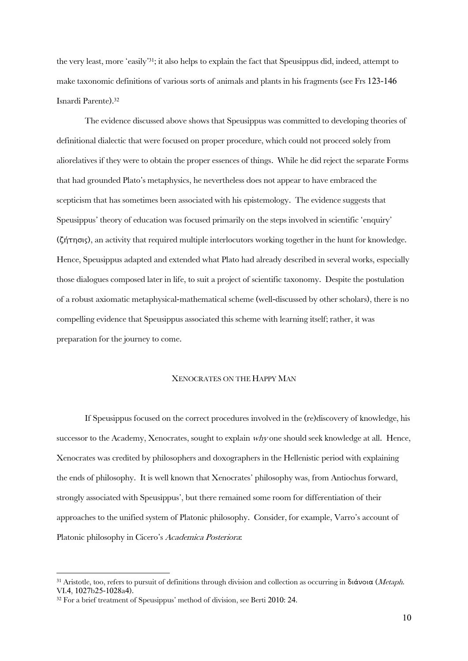the very least, more 'easily' <sup>31</sup>; it also helps to explain the fact that Speusippus did, indeed, attempt to make taxonomic definitions of various sorts of animals and plants in his fragments (see Frs 123-146 Isnardi Parente).<sup>32</sup>

The evidence discussed above shows that Speusippus was committed to developing theories of definitional dialectic that were focused on proper procedure, which could not proceed solely from aliorelatives if they were to obtain the proper essences of things. While he did reject the separate Forms that had grounded Plato's metaphysics, he nevertheless does not appear to have embraced the scepticism that has sometimes been associated with his epistemology. The evidence suggests that Speusippus' theory of education was focused primarily on the steps involved in scientific 'enquiry' (ζήτησις), an activity that required multiple interlocutors working together in the hunt for knowledge. Hence, Speusippus adapted and extended what Plato had already described in several works, especially those dialogues composed later in life, to suit a project of scientific taxonomy. Despite the postulation of a robust axiomatic metaphysical-mathematical scheme (well-discussed by other scholars), there is no compelling evidence that Speusippus associated this scheme with learning itself; rather, it was preparation for the journey to come.

#### XENOCRATES ON THE HAPPY MAN

If Speusippus focused on the correct procedures involved in the (re)discovery of knowledge, his successor to the Academy, Xenocrates, sought to explain why one should seek knowledge at all. Hence, Xenocrates was credited by philosophers and doxographers in the Hellenistic period with explaining the ends of philosophy. It is well known that Xenocrates' philosophy was, from Antiochus forward, strongly associated with Speusippus', but there remained some room for differentiation of their approaches to the unified system of Platonic philosophy. Consider, for example, Varro's account of Platonic philosophy in Cicero's Academica Posteriora:

 $\overline{a}$ 

<sup>&</sup>lt;sup>31</sup> Aristotle, too, refers to pursuit of definitions through division and collection as occurring in διάνοια (*Metaph*. VI.4, 1027b25-1028a4).

<sup>32</sup> For a brief treatment of Speusippus' method of division, see Berti 2010: 24.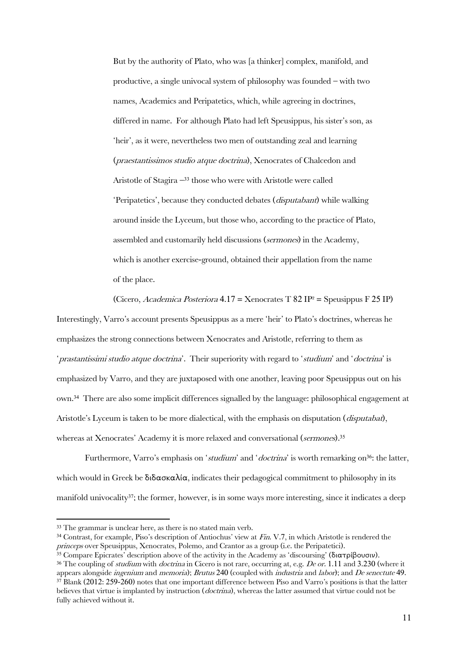But by the authority of Plato, who was [a thinker] complex, manifold, and productive, a single univocal system of philosophy was founded – with two names, Academics and Peripatetics, which, while agreeing in doctrines, differed in name. For although Plato had left Speusippus, his sister's son, as 'heir', as it were, nevertheless two men of outstanding zeal and learning (praestantissimos studio atque doctrina), Xenocrates of Chalcedon and Aristotle of Stagira – <sup>33</sup> those who were with Aristotle were called 'Peripatetics', because they conducted debates (disputabant) while walking around inside the Lyceum, but those who, according to the practice of Plato, assembled and customarily held discussions (sermones) in the Academy, which is another exercise-ground, obtained their appellation from the name of the place.

(Cicero, Academica Posteriora  $4.17 = X$ enocrates T 82 IP<sup>2</sup> = Speusippus F 25 IP)

Interestingly, Varro's account presents Speusippus as a mere 'heir' to Plato's doctrines, whereas he emphasizes the strong connections between Xenocrates and Aristotle, referring to them as '*prastantissimi studio atque doctrina*'. Their superiority with regard to 'studium' and 'doctrina' is emphasized by Varro, and they are juxtaposed with one another, leaving poor Speusippus out on his own.<sup>34</sup> There are also some implicit differences signalled by the language: philosophical engagement at Aristotle's Lyceum is taken to be more dialectical, with the emphasis on disputation (*disputabat*), whereas at Xenocrates' Academy it is more relaxed and conversational (sermones).<sup>35</sup>

Furthermore, Varro's emphasis on 'studium' and 'doctrina' is worth remarking on<sup>36</sup>: the latter, which would in Greek be  $\delta \delta \alpha \sigma \kappa \alpha \lambda (\alpha)$ , indicates their pedagogical commitment to philosophy in its manifold univocality<sup>37</sup>; the former, however, is in some ways more interesting, since it indicates a deep

<sup>33</sup> The grammar is unclear here, as there is no stated main verb.

<sup>&</sup>lt;sup>34</sup> Contrast, for example, Piso's description of Antiochus' view at Fin. V.7, in which Aristotle is rendered the princeps over Speusippus, Xenocrates, Polemo, and Crantor as a group (i.e. the Peripatetici).

<sup>35</sup> Compare Epicrates' description above of the activity in the Academy as 'discoursing' (διατρίβουσιν).

<sup>&</sup>lt;sup>36</sup> The coupling of *studium* with *doctrina* in Cicero is not rare, occurring at, e.g. *De or.* 1.11 and 3.230 (where it appears alongside *ingenium* and *memoria*); *Brutus* 240 (coupled with *industria* and *labor*); and *De senectute* 49.  $37$  Blank (2012: 259-260) notes that one important difference between Piso and Varro's positions is that the latter believes that virtue is implanted by instruction (*doctrina*), whereas the latter assumed that virtue could not be fully achieved without it.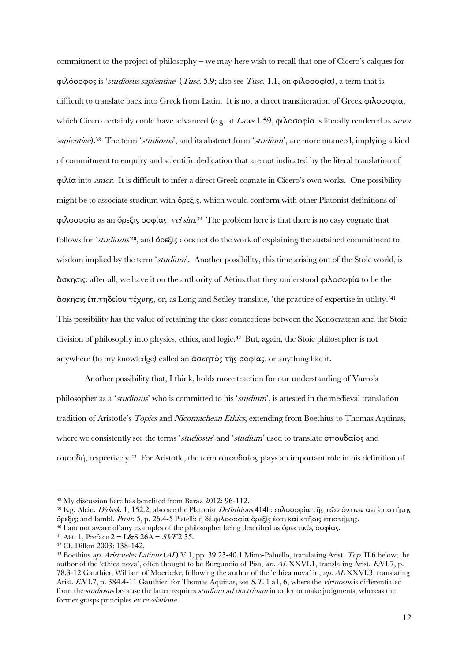commitment to the project of philosophy – we may here wish to recall that one of Cicero's calques for φιλόσοφος is 'studiosus sapientiae' (Tusc. 5.9; also see Tusc. 1.1, on φιλοσοφία), a term that is difficult to translate back into Greek from Latin. It is not a direct transliteration of Greek φιλοσοφία, which Cicero certainly could have advanced (e.g. at Laws 1.59,  $\phi \lambda \infty$  $\phi$  is literally rendered as amor sapientiae).<sup>38</sup> The term 'studiosus', and its abstract form 'studium', are more nuanced, implying a kind of commitment to enquiry and scientific dedication that are not indicated by the literal translation of φιλία into amor. It is difficult to infer a direct Greek cognate in Cicero's own works. One possibility might be to associate studium with ὄρεξις, which would conform with other Platonist definitions of φιλοσοφία as an ὄρεξις σοφίας, vel sim.<sup>39</sup> The problem here is that there is no easy cognate that follows for 'studiosus' <sup>40</sup>, and ὄρεξις does not do the work of explaining the sustained commitment to wisdom implied by the term 'studium'. Another possibility, this time arising out of the Stoic world, is ἄσκησις: after all, we have it on the authority of Aëtius that they understood φιλοσοφία to be the ἄσκησις ἐπιτηδείου τέχνης, or, as Long and Sedley translate, 'the practice of expertise in utility.'<sup>41</sup> This possibility has the value of retaining the close connections between the Xenocratean and the Stoic division of philosophy into physics, ethics, and logic.<sup>42</sup> But, again, the Stoic philosopher is not anywhere (to my knowledge) called an ἀσκητὸς τῆς σοφίας, or anything like it.

Another possibility that, I think, holds more traction for our understanding of Varro's philosopher as a 'studiosus' who is committed to his 'studium', is attested in the medieval translation tradition of Aristotle's Topics and Nicomachean Ethics, extending from Boethius to Thomas Aquinas, where we consistently see the terms 'studiosus' and 'studium' used to translate σπουδαίος and σπουδή, respectively. 43 For Aristotle, the term σπουδαίος plays an important role in his definition of

<sup>38</sup> My discussion here has benefited from Baraz 2012: 96-112.

<sup>&</sup>lt;sup>39</sup> E.g. Alcin. *Didask*. 1, 152.2; also see the Platonist *Definitions* 414b: φιλοσοφία τῆς τῶν ὄντων ἀεὶ ἐπιστήμης ὄρεξις; and Iambl. Protr. 5, p. 26.4-5 Pistelli: ἡ δὲ φιλοσοφία ὄρεξίς ἐστι καὶ κτῆσις ἐπιστήμης. <sup>40</sup> I am not aware of any examples of the philosopher being described as ὀρεκτικὸς σοφίας.

<sup>&</sup>lt;sup>41</sup> Aët. 1, Preface  $2 = L & S$  26A =  $SVF$ 2.35.

<sup>42</sup> Cf. Dillon 2003: 138-142.

<sup>43</sup> Boethius ap. Aristoteles Latinus (AL) V.1, pp. 39.23-40.1 Mino-Paluello, translating Arist. Top. II.6 below; the author of the 'ethica nova', often thought to be Burgundio of Pisa, ap. AL XXVI.1, translating Arist. EN I.7, p. 78.3-12 Gauthier; William of Moerbeke, following the author of the 'ethica nova' in, ap. AL XXVI.3, translating Arist. ENI.7, p. 384.4-11 Gauthier; for Thomas Aquinas, see S.T. 1 a1, 6, where the virtuosus is differentiated from the studiosus because the latter requires studium ad doctrinam in order to make judgments, whereas the former grasps principles ex revelatione.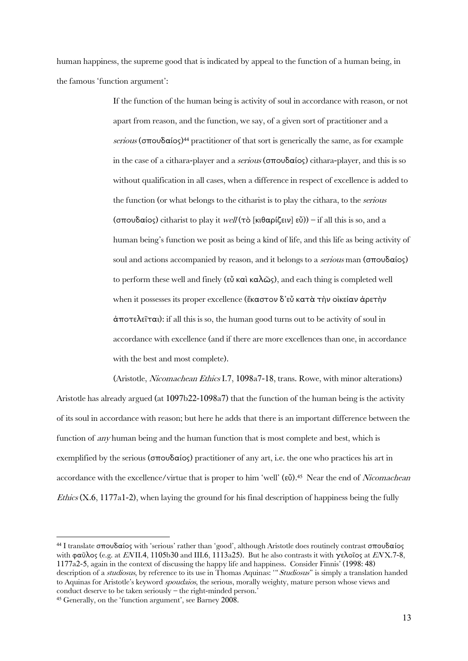human happiness, the supreme good that is indicated by appeal to the function of a human being, in the famous 'function argument':

> If the function of the human being is activity of soul in accordance with reason, or not apart from reason, and the function, we say, of a given sort of practitioner and a serious (σπουδαίος)<sup>44</sup> practitioner of that sort is generically the same, as for example in the case of a cithara-player and a *serious* ( $\sigma$ πουδαίος) cithara-player, and this is so without qualification in all cases, when a difference in respect of excellence is added to the function (or what belongs to the citharist is to play the cithara, to the serious (σπουδαίος) citharist to play it well (τὸ [κιθαρίζειν] εὖ)) – if all this is so, and a human being's function we posit as being a kind of life, and this life as being activity of soul and actions accompanied by reason, and it belongs to a serious man (σπουδαίος) to perform these well and finely (εὖ καὶ καλῶς), and each thing is completed well when it possesses its proper excellence (ἕκαστον δ'εὖ κατὰ τὴν οἰκείαν ἀρετὴν ἀποτελεῖται): if all this is so, the human good turns out to be activity of soul in accordance with excellence (and if there are more excellences than one, in accordance with the best and most complete).

(Aristotle, Nicomachean Ethics I.7, 1098a7-18, trans. Rowe, with minor alterations) Aristotle has already argued (at 1097b22-1098a7) that the function of the human being is the activity of its soul in accordance with reason; but here he adds that there is an important difference between the function of any human being and the human function that is most complete and best, which is exemplified by the serious (σπουδαίος) practitioner of any art, i.e. the one who practices his art in accordance with the excellence/virtue that is proper to him 'well' (εὖ).<sup>45</sup> Near the end of *Nicomachean Ethics* (X.6, 1177a1-2), when laying the ground for his final description of happiness being the fully

<sup>44</sup> I translate σπουδαίος with 'serious' rather than 'good', although Aristotle does routinely contrast σπουδαίος with φαῦλος (e.g. at ENII.4, 1105b30 and III.6, 1113a25). But he also contrasts it with γελοῖος at ENX.7-8, 1177a2-5, again in the context of discussing the happy life and happiness. Consider Finnis' (1998: 48) description of a *studiosus*, by reference to its use in Thomas Aquinas: "Studiosus" is simply a translation handed to Aquinas for Aristotle's keyword *spoudaios*, the serious, morally weighty, mature person whose views and conduct deserve to be taken seriously – the right-minded person.'

<sup>45</sup> Generally, on the 'function argument', see Barney 2008.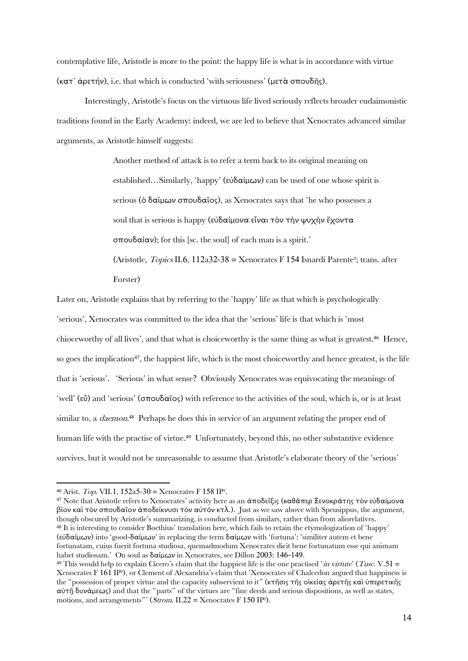contemplative life, Aristotle is more to the point: the happy life is what is in accordance with virtue (κατ' ἀρετήν), i.e. that which is conducted 'with seriousness' (μετὰ σπουδῆς).

Interestingly, Aristotle's focus on the virtuous life lived seriously reflects broader eudaimonistic traditions found in the Early Academy: indeed, we are led to believe that Xenocrates advanced similar arguments, as Aristotle himself suggests:

> Another method of attack is to refer a term back to its original meaning on established…Similarly, 'happy' (εὐδαίμων) can be used of one whose spirit is serious (ὁ δαίμων σπουδαῖος), as Xenocrates says that 'he who possesses a soul that is serious is happy (εὐδαίμονα εἶναι τὸν τὴν ψυχὴν ἔχοντα σπουδαίαν); for this [sc. the soul] of each man is a spirit.' (Aristotle, Topics II.6, 112a32-38 = Xenocrates F 154 Isnardi Parente²; trans. after Forster)

Later on, Aristotle explains that by referring to the 'happy' life as that which is psychologically 'serious', Xenocrates was committed to the idea that the 'serious' life is that which is 'most chioceworthy of all lives', and that what is choiceworthy is the same thing as what is greatest.<sup>46</sup> Hence, so goes the implication<sup>47</sup>, the happiest life, which is the most choiceworthy and hence greatest, is the life that is 'serious'. 'Serious' in what sense? Obviously Xenocrates was equivocating the meanings of 'well' (εὖ) and 'serious' (σπουδαῖος) with reference to the activities of the soul, which is, or is at least similar to, a *daemon*.<sup>48</sup> Perhaps he does this in service of an argument relating the proper end of human life with the practise of virtue. 49 Unfortunately, beyond this, no other substantive evidence survives, but it would not be unreasonable to assume that Aristotle's elaborate theory of the 'serious'

1

<sup>46</sup> Arist. Top. VII.1, 152a5-30 = Xenocrates F 158 IP².

<sup>47</sup> Note that Aristotle refers to Xenocrates' activity here as an ἀποδεῖξις (καθάπερ Ξενοκράτης τὸν εὐδαίμονα βίον καὶ τὸν σπουδαῖον ἀποδείκνυσι τὸν αὐτόν κτλ.). Just as we saw above with Speusippus, the argument, though obscured by Aristotle's summarizing, is conducted from similars, rather than from aliorelatives. <sup>48</sup> It is interesting to consider Boethius' translation here, which fails to retain the etymologization of 'happy' (εὐδαίμων) into 'good-δαίμων' in replacing the term δαίμων with 'fortuna': 'similiter autem et bene fortunatam, cuius fuerit fortuna studiosa, quemadmodum Xenocrates dicit bene fortunatum esse qui animam habet studiosam.' On soul as δαίμων in Xenocrates, see Dillon 2003: 146-149.

<sup>&</sup>lt;sup>49</sup> This would help to explain Cicero's claim that the happiest life is the one practised '*in virtute'* (*Tusc.* V.51 = Xenocrates F 161 IP²), or Clement of Alexandria's claim that 'Xenocrates of Chalcedon argued that happiness is the "possession of proper virtue and the capacity subservient to it" (κτῆσις τῆς οἰκείας ἀρετῆς καὶ ὑπερετικῆς αὐτῇ δυνάμεως) and that the "parts" of the virtues are "fine deeds and serious dispositions, as well as states, motions, and arrangements"' ( $\hat{Strom}$ . II.22 = Xenocrates F 150 IP<sup>2</sup>).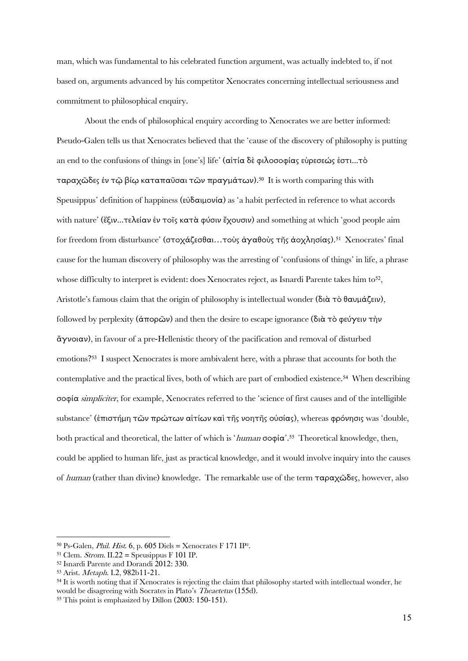man, which was fundamental to his celebrated function argument, was actually indebted to, if not based on, arguments advanced by his competitor Xenocrates concerning intellectual seriousness and commitment to philosophical enquiry.

About the ends of philosophical enquiry according to Xenocrates we are better informed: Pseudo-Galen tells us that Xenocrates believed that the 'cause of the discovery of philosophy is putting an end to the confusions of things in [one's] life' (αἰτία δὲ φιλοσοφίας εὑρεσεώς ἐστι...τὸ ταραχῶδες ἐν τῷ βίῳ καταπαῦσαι τῶν πραγμάτων).<sup>50</sup> It is worth comparing this with Speusippus' definition of happiness (εὐδαιμονία) as 'a habit perfected in reference to what accords with nature' (ἕξιν...τελείαν ἐν τοῖς κατὰ φύσιν ἔχουσιν) and something at which 'good people aim for freedom from disturbance' (στοχάζεσθαι…τοὺς ἀγαθοὺς τῆς ἀοχλησίας).<sup>51</sup> Xenocrates' final cause for the human discovery of philosophy was the arresting of 'confusions of things' in life, a phrase whose difficulty to interpret is evident: does Xenocrates reject, as Isnardi Parente takes him to<sup>52</sup>, Aristotle's famous claim that the origin of philosophy is intellectual wonder (διὰ τὸ θαυμάζειν), followed by perplexity (άπορῶν) and then the desire to escape ignorance (διὰ τὸ φεύγειν τὴν ἄγνοιαν), in favour of a pre-Hellenistic theory of the pacification and removal of disturbed emotions? 53 I suspect Xenocrates is more ambivalent here, with a phrase that accounts for both the contemplative and the practical lives, both of which are part of embodied existence. <sup>54</sup> When describing σοφία simpliciter, for example, Xenocrates referred to the 'science of first causes and of the intelligible substance' (ἐπιστήμη τῶν πρώτων αἰτίων καὶ τῆς νοητῆς οὐσίας), whereas φρόνησις was 'double, both practical and theoretical, the latter of which is '*human* σοφία'.<sup>55</sup> Theoretical knowledge, then, could be applied to human life, just as practical knowledge, and it would involve inquiry into the causes of human (rather than divine) knowledge. The remarkable use of the term ταραχῶδες, however, also

<sup>&</sup>lt;sup>50</sup> Ps-Galen, *Phil. Hist.* 6, p. 605 Diels = Xenocrates F 171 IP<sup>2</sup>.

<sup>&</sup>lt;sup>51</sup> Clem. *Strom.* II.22 = Speusippus F 101 IP.

<sup>52</sup> Isnardi Parente and Dorandi 2012: 330.

<sup>53</sup> Arist. Metaph. I.2, 982b11-21.

<sup>&</sup>lt;sup>54</sup> It is worth noting that if Xenocrates is rejecting the claim that philosophy started with intellectual wonder, he would be disagreeing with Socrates in Plato's Theaetetus (155d).

<sup>55</sup> This point is emphasized by Dillon (2003: 150-151).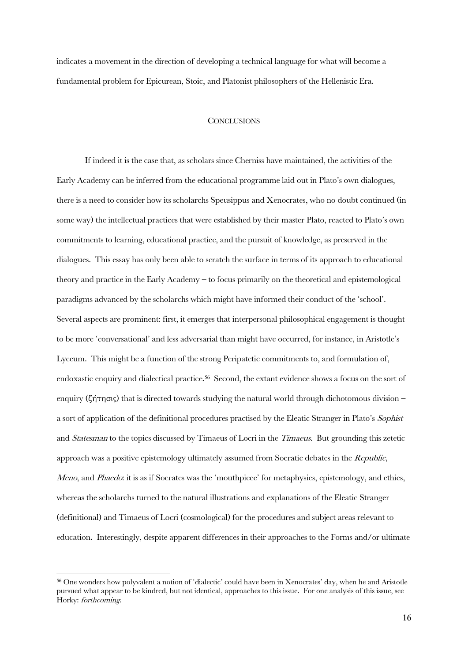indicates a movement in the direction of developing a technical language for what will become a fundamental problem for Epicurean, Stoic, and Platonist philosophers of the Hellenistic Era.

#### **CONCLUSIONS**

If indeed it is the case that, as scholars since Cherniss have maintained, the activities of the Early Academy can be inferred from the educational programme laid out in Plato's own dialogues, there is a need to consider how its scholarchs Speusippus and Xenocrates, who no doubt continued (in some way) the intellectual practices that were established by their master Plato, reacted to Plato's own commitments to learning, educational practice, and the pursuit of knowledge, as preserved in the dialogues. This essay has only been able to scratch the surface in terms of its approach to educational theory and practice in the Early Academy – to focus primarily on the theoretical and epistemological paradigms advanced by the scholarchs which might have informed their conduct of the 'school'. Several aspects are prominent: first, it emerges that interpersonal philosophical engagement is thought to be more 'conversational' and less adversarial than might have occurred, for instance, in Aristotle's Lyceum. This might be a function of the strong Peripatetic commitments to, and formulation of, endoxastic enquiry and dialectical practice.<sup>56</sup> Second, the extant evidence shows a focus on the sort of enquiry (ζήτησις) that is directed towards studying the natural world through dichotomous division – a sort of application of the definitional procedures practised by the Eleatic Stranger in Plato's Sophist and Statesman to the topics discussed by Timaeus of Locri in the Timaeus. But grounding this zetetic approach was a positive epistemology ultimately assumed from Socratic debates in the  $Republic$ , Meno, and Phaedo: it is as if Socrates was the 'mouthpiece' for metaphysics, epistemology, and ethics, whereas the scholarchs turned to the natural illustrations and explanations of the Eleatic Stranger (definitional) and Timaeus of Locri (cosmological) for the procedures and subject areas relevant to education. Interestingly, despite apparent differences in their approaches to the Forms and/or ultimate

 $\overline{a}$ 

<sup>56</sup> One wonders how polyvalent a notion of 'dialectic' could have been in Xenocrates' day, when he and Aristotle pursued what appear to be kindred, but not identical, approaches to this issue. For one analysis of this issue, see Horky: forthcoming.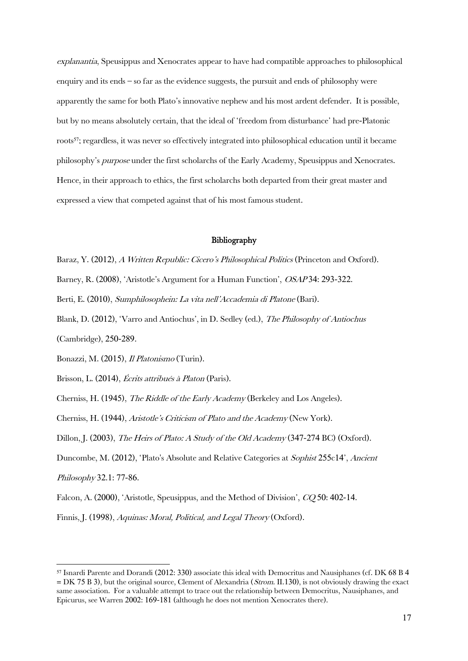explanantia, Speusippus and Xenocrates appear to have had compatible approaches to philosophical enquiry and its ends – so far as the evidence suggests, the pursuit and ends of philosophy were apparently the same for both Plato's innovative nephew and his most ardent defender. It is possible, but by no means absolutely certain, that the ideal of 'freedom from disturbance' had pre-Platonic roots57; regardless, it was never so effectively integrated into philosophical education until it became philosophy's purpose under the first scholarchs of the Early Academy, Speusippus and Xenocrates. Hence, in their approach to ethics, the first scholarchs both departed from their great master and expressed a view that competed against that of his most famous student.

### Bibliography

- Baraz, Y. (2012), A Written Republic: Cicero's Philosophical Politics (Princeton and Oxford).
- Barney, R. (2008), 'Aristotle's Argument for a Human Function', OSAP34: 293-322.
- Berti, E. (2010), Sumphilosophein: La vita nell'Accademia di Platone (Bari).
- Blank, D. (2012), 'Varro and Antiochus', in D. Sedley (ed.), The Philosophy of Antiochus

(Cambridge), 250-289.

Bonazzi, M. (2015), *Il Platonismo* (Turin).

Brisson, L. (2014), *Écrits attribués à Platon* (Paris).

Cherniss, H. (1945), The Riddle of the Early Academy (Berkeley and Los Angeles).

Cherniss, H. (1944), Aristotle's Criticism of Plato and the Academy (New York).

Dillon, J. (2003), The Heirs of Plato: A Study of the Old Academy (347-274 BC) (Oxford).

Duncombe, M. (2012), 'Plato's Absolute and Relative Categories at Sophist 255c14', Ancient

Philosophy 32.1: 77-86.

**.** 

Falcon, A. (2000), 'Aristotle, Speusippus, and the Method of Division', CO 50: 402-14.

Finnis, J. (1998), Aquinas: Moral, Political, and Legal Theory (Oxford).

<sup>57</sup> Isnardi Parente and Dorandi (2012: 330) associate this ideal with Democritus and Nausiphanes (cf. DK 68 B 4  $= DK 75 B 3$ ), but the original source, Clement of Alexandria (*Strom.* II.130), is not obviously drawing the exact same association. For a valuable attempt to trace out the relationship between Democritus, Nausiphanes, and Epicurus, see Warren 2002: 169-181 (although he does not mention Xenocrates there).